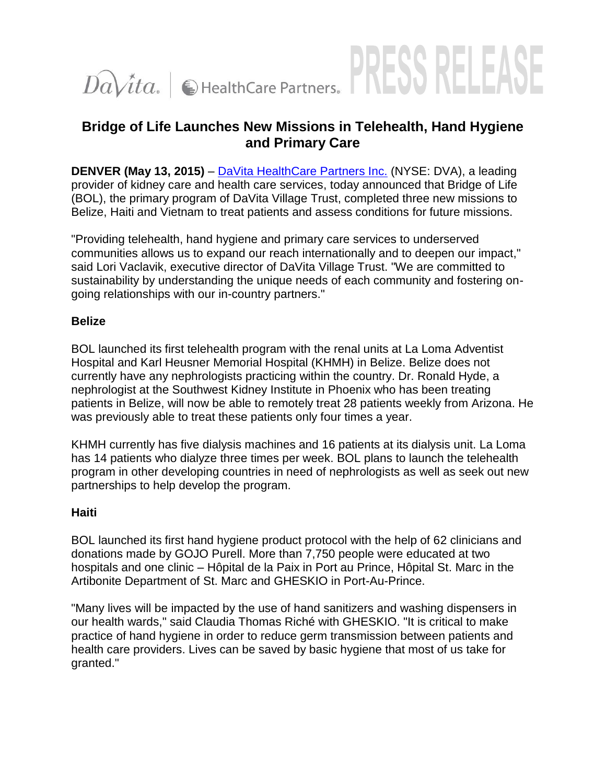# S KEI  $Da\$ ita. |  $\bigcirc$  HealthCare Partners. |

## **Bridge of Life Launches New Missions in Telehealth, Hand Hygiene and Primary Care**

**DENVER (May 13, 2015)** – [DaVita HealthCare Partners Inc.](http://davitahealthcarepartners.com/?utm_source=EarnedMedia&utm_medium=PressRelease&utm_campaign=wrapuprelease) (NYSE: DVA), a leading provider of kidney care and health care services, today announced that Bridge of Life (BOL), the primary program of DaVita Village Trust, completed three new missions to Belize, Haiti and Vietnam to treat patients and assess conditions for future missions.

"Providing telehealth, hand hygiene and primary care services to underserved communities allows us to expand our reach internationally and to deepen our impact," said Lori Vaclavik, executive director of DaVita Village Trust. "We are committed to sustainability by understanding the unique needs of each community and fostering ongoing relationships with our in-country partners."

## **Belize**

BOL launched its first telehealth program with the renal units at La Loma Adventist Hospital and Karl Heusner Memorial Hospital (KHMH) in Belize. Belize does not currently have any nephrologists practicing within the country. Dr. Ronald Hyde, a nephrologist at the Southwest Kidney Institute in Phoenix who has been treating patients in Belize, will now be able to remotely treat 28 patients weekly from Arizona. He was previously able to treat these patients only four times a year.

KHMH currently has five dialysis machines and 16 patients at its dialysis unit. La Loma has 14 patients who dialyze three times per week. BOL plans to launch the telehealth program in other developing countries in need of nephrologists as well as seek out new partnerships to help develop the program.

## **Haiti**

BOL launched its first hand hygiene product protocol with the help of 62 clinicians and donations made by GOJO Purell. More than 7,750 people were educated at two hospitals and one clinic – Hôpital de la Paix in Port au Prince, Hôpital St. Marc in the Artibonite Department of St. Marc and GHESKIO in Port-Au-Prince.

"Many lives will be impacted by the use of hand sanitizers and washing dispensers in our health wards," said Claudia Thomas Riché with GHESKIO. "It is critical to make practice of hand hygiene in order to reduce germ transmission between patients and health care providers. Lives can be saved by basic hygiene that most of us take for granted."